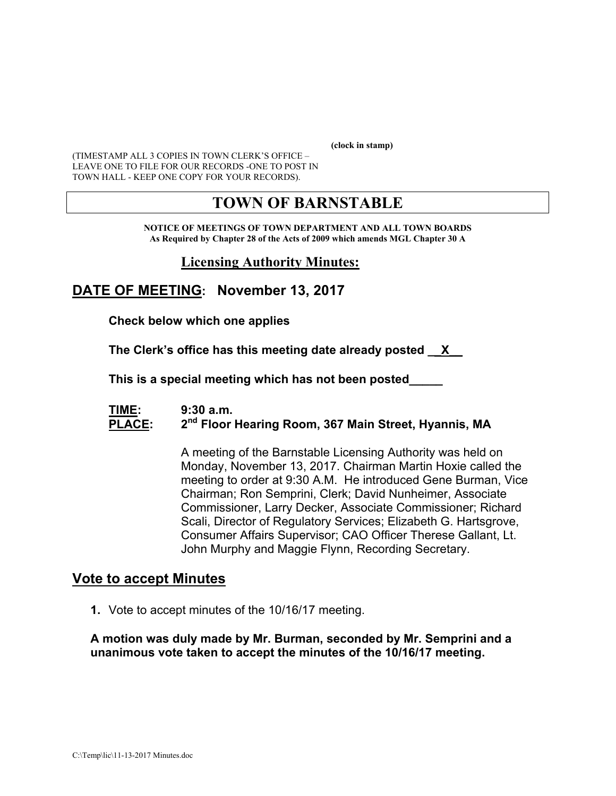**(clock in stamp)** 

(TIMESTAMP ALL 3 COPIES IN TOWN CLERK'S OFFICE – LEAVE ONE TO FILE FOR OUR RECORDS -ONE TO POST IN TOWN HALL - KEEP ONE COPY FOR YOUR RECORDS).

# **TOWN OF BARNSTABLE**

**NOTICE OF MEETINGS OF TOWN DEPARTMENT AND ALL TOWN BOARDS As Required by Chapter 28 of the Acts of 2009 which amends MGL Chapter 30 A** 

### **Licensing Authority Minutes:**

### **DATE OF MEETING: November 13, 2017**

**Check below which one applies** 

**The Clerk's office has this meeting date already posted \_\_X\_\_** 

 **This is a special meeting which has not been posted\_\_\_\_\_** 

#### **TIME: 9:30 a.m. PLACE: 2nd Floor Hearing Room, 367 Main Street, Hyannis, MA**

A meeting of the Barnstable Licensing Authority was held on Monday, November 13, 2017. Chairman Martin Hoxie called the meeting to order at 9:30 A.M. He introduced Gene Burman, Vice Chairman; Ron Semprini, Clerk; David Nunheimer, Associate Commissioner, Larry Decker, Associate Commissioner; Richard Scali, Director of Regulatory Services; Elizabeth G. Hartsgrove, Consumer Affairs Supervisor; CAO Officer Therese Gallant, Lt. John Murphy and Maggie Flynn, Recording Secretary.

#### **Vote to accept Minutes**

**1.** Vote to accept minutes of the 10/16/17 meeting.

**A motion was duly made by Mr. Burman, seconded by Mr. Semprini and a unanimous vote taken to accept the minutes of the 10/16/17 meeting.**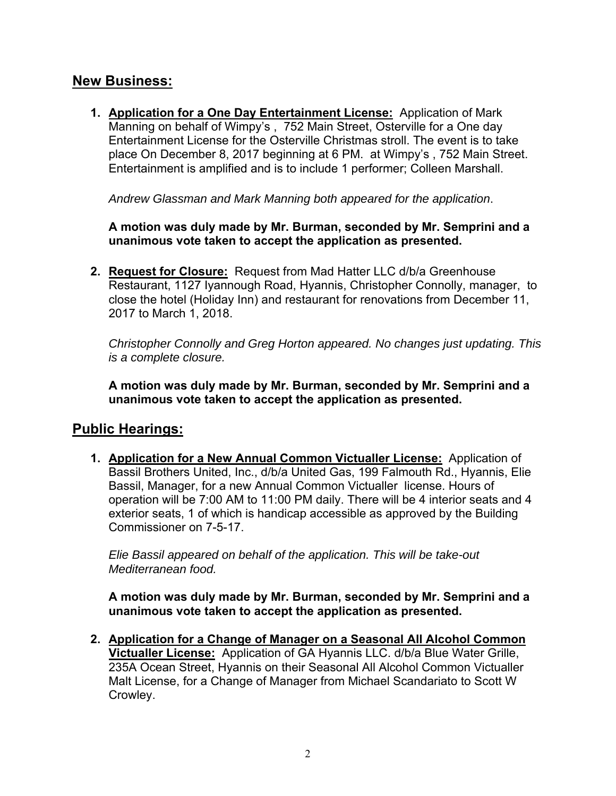## **New Business:**

**1. Application for a One Day Entertainment License:** Application of Mark Manning on behalf of Wimpy's , 752 Main Street, Osterville for a One day Entertainment License for the Osterville Christmas stroll. The event is to take place On December 8, 2017 beginning at 6 PM. at Wimpy's , 752 Main Street. Entertainment is amplified and is to include 1 performer; Colleen Marshall.

*Andrew Glassman and Mark Manning both appeared for the application*.

**A motion was duly made by Mr. Burman, seconded by Mr. Semprini and a unanimous vote taken to accept the application as presented.** 

**2. Request for Closure:** Request from Mad Hatter LLC d/b/a Greenhouse Restaurant, 1127 Iyannough Road, Hyannis, Christopher Connolly, manager, to close the hotel (Holiday Inn) and restaurant for renovations from December 11, 2017 to March 1, 2018.

*Christopher Connolly and Greg Horton appeared. No changes just updating. This is a complete closure.* 

**A motion was duly made by Mr. Burman, seconded by Mr. Semprini and a unanimous vote taken to accept the application as presented.** 

### **Public Hearings:**

**1. Application for a New Annual Common Victualler License:** Application of Bassil Brothers United, Inc., d/b/a United Gas, 199 Falmouth Rd., Hyannis, Elie Bassil, Manager, for a new Annual Common Victualler license. Hours of operation will be 7:00 AM to 11:00 PM daily. There will be 4 interior seats and 4 exterior seats, 1 of which is handicap accessible as approved by the Building Commissioner on 7-5-17.

*Elie Bassil appeared on behalf of the application. This will be take-out Mediterranean food.* 

**A motion was duly made by Mr. Burman, seconded by Mr. Semprini and a unanimous vote taken to accept the application as presented.** 

**2. Application for a Change of Manager on a Seasonal All Alcohol Common Victualler License:** Application of GA Hyannis LLC. d/b/a Blue Water Grille, 235A Ocean Street, Hyannis on their Seasonal All Alcohol Common Victualler Malt License, for a Change of Manager from Michael Scandariato to Scott W Crowley.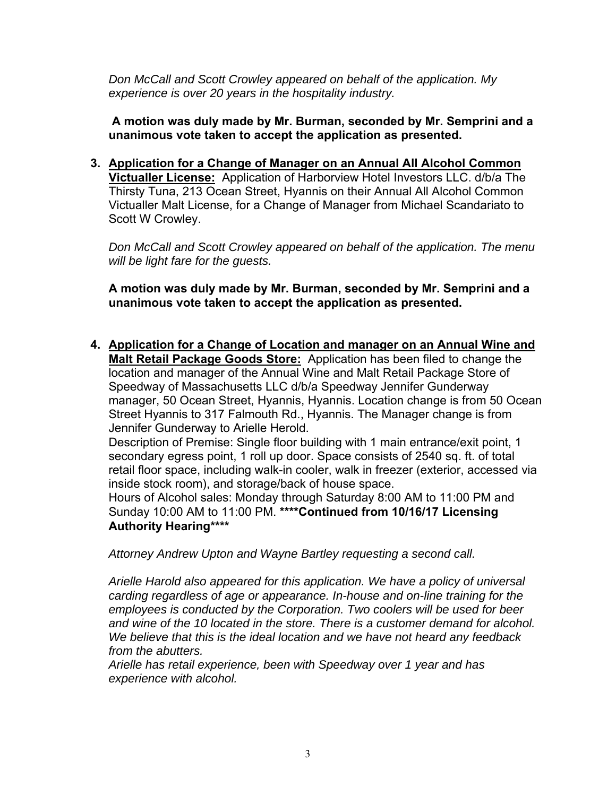*Don McCall and Scott Crowley appeared on behalf of the application. My experience is over 20 years in the hospitality industry.* 

**A motion was duly made by Mr. Burman, seconded by Mr. Semprini and a unanimous vote taken to accept the application as presented.** 

**3. Application for a Change of Manager on an Annual All Alcohol Common Victualler License:** Application of Harborview Hotel Investors LLC. d/b/a The Thirsty Tuna, 213 Ocean Street, Hyannis on their Annual All Alcohol Common Victualler Malt License, for a Change of Manager from Michael Scandariato to Scott W Crowley.

*Don McCall and Scott Crowley appeared on behalf of the application. The menu will be light fare for the guests.* 

**A motion was duly made by Mr. Burman, seconded by Mr. Semprini and a unanimous vote taken to accept the application as presented.** 

**4. Application for a Change of Location and manager on an Annual Wine and Malt Retail Package Goods Store:** Application has been filed to change the location and manager of the Annual Wine and Malt Retail Package Store of Speedway of Massachusetts LLC d/b/a Speedway Jennifer Gunderway manager, 50 Ocean Street, Hyannis, Hyannis. Location change is from 50 Ocean Street Hyannis to 317 Falmouth Rd., Hyannis. The Manager change is from Jennifer Gunderway to Arielle Herold.

Description of Premise: Single floor building with 1 main entrance/exit point, 1 secondary egress point, 1 roll up door. Space consists of 2540 sq. ft. of total retail floor space, including walk-in cooler, walk in freezer (exterior, accessed via inside stock room), and storage/back of house space.

Hours of Alcohol sales: Monday through Saturday 8:00 AM to 11:00 PM and Sunday 10:00 AM to 11:00 PM. **\*\*\*\*Continued from 10/16/17 Licensing Authority Hearing\*\*\*\*** 

*Attorney Andrew Upton and Wayne Bartley requesting a second call.* 

*Arielle Harold also appeared for this application. We have a policy of universal carding regardless of age or appearance. In-house and on-line training for the employees is conducted by the Corporation. Two coolers will be used for beer and wine of the 10 located in the store. There is a customer demand for alcohol. We believe that this is the ideal location and we have not heard any feedback from the abutters.* 

*Arielle has retail experience, been with Speedway over 1 year and has experience with alcohol.*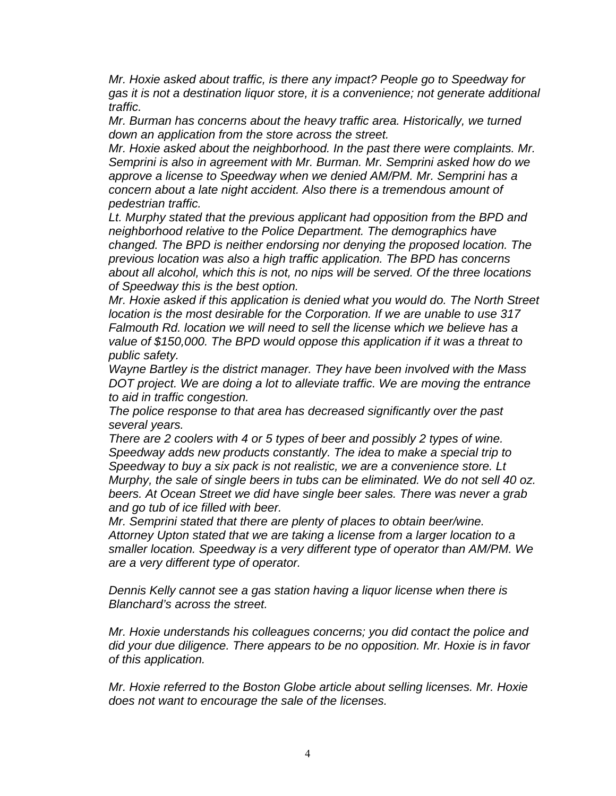*Mr. Hoxie asked about traffic, is there any impact? People go to Speedway for gas it is not a destination liquor store, it is a convenience; not generate additional traffic.* 

*Mr. Burman has concerns about the heavy traffic area. Historically, we turned down an application from the store across the street.* 

*Mr. Hoxie asked about the neighborhood. In the past there were complaints. Mr. Semprini is also in agreement with Mr. Burman. Mr. Semprini asked how do we approve a license to Speedway when we denied AM/PM. Mr. Semprini has a concern about a late night accident. Also there is a tremendous amount of pedestrian traffic.* 

*Lt. Murphy stated that the previous applicant had opposition from the BPD and neighborhood relative to the Police Department. The demographics have changed. The BPD is neither endorsing nor denying the proposed location. The previous location was also a high traffic application. The BPD has concerns about all alcohol, which this is not, no nips will be served. Of the three locations of Speedway this is the best option.* 

*Mr. Hoxie asked if this application is denied what you would do. The North Street location is the most desirable for the Corporation. If we are unable to use 317 Falmouth Rd. location we will need to sell the license which we believe has a value of \$150,000. The BPD would oppose this application if it was a threat to public safety.* 

*Wayne Bartley is the district manager. They have been involved with the Mass DOT project. We are doing a lot to alleviate traffic. We are moving the entrance to aid in traffic congestion.* 

*The police response to that area has decreased significantly over the past several years.* 

*There are 2 coolers with 4 or 5 types of beer and possibly 2 types of wine. Speedway adds new products constantly. The idea to make a special trip to Speedway to buy a six pack is not realistic, we are a convenience store. Lt Murphy, the sale of single beers in tubs can be eliminated. We do not sell 40 oz. beers. At Ocean Street we did have single beer sales. There was never a grab and go tub of ice filled with beer.* 

*Mr. Semprini stated that there are plenty of places to obtain beer/wine. Attorney Upton stated that we are taking a license from a larger location to a smaller location. Speedway is a very different type of operator than AM/PM. We are a very different type of operator.* 

*Dennis Kelly cannot see a gas station having a liquor license when there is Blanchard's across the street.* 

*Mr. Hoxie understands his colleagues concerns; you did contact the police and did your due diligence. There appears to be no opposition. Mr. Hoxie is in favor of this application.* 

*Mr. Hoxie referred to the Boston Globe article about selling licenses. Mr. Hoxie does not want to encourage the sale of the licenses.*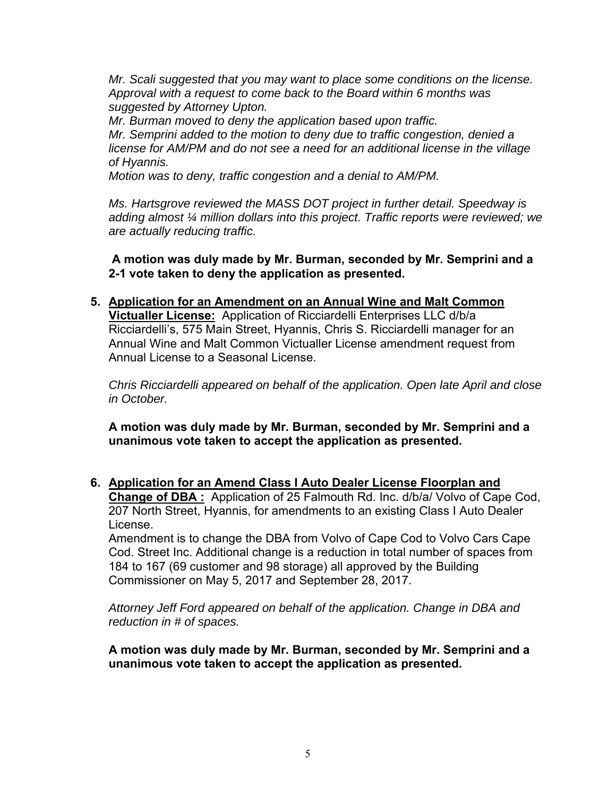*Mr. Scali suggested that you may want to place some conditions on the license. Approval with a request to come back to the Board within 6 months was suggested by Attorney Upton.* 

*Mr. Burman moved to deny the application based upon traffic. Mr. Semprini added to the motion to deny due to traffic congestion, denied a license for AM/PM and do not see a need for an additional license in the village of Hyannis.* 

*Motion was to deny, traffic congestion and a denial to AM/PM.* 

*Ms. Hartsgrove reviewed the MASS DOT project in further detail. Speedway is adding almost ¼ million dollars into this project. Traffic reports were reviewed; we are actually reducing traffic.* 

**A motion was duly made by Mr. Burman, seconded by Mr. Semprini and a 2-1 vote taken to deny the application as presented.** 

**5. Application for an Amendment on an Annual Wine and Malt Common Victualler License:** Application of Ricciardelli Enterprises LLC d/b/a Ricciardelli's, 575 Main Street, Hyannis, Chris S. Ricciardelli manager for an Annual Wine and Malt Common Victualler License amendment request from Annual License to a Seasonal License.

*Chris Ricciardelli appeared on behalf of the application. Open late April and close in October.* 

**A motion was duly made by Mr. Burman, seconded by Mr. Semprini and a unanimous vote taken to accept the application as presented.** 

**6. Application for an Amend Class I Auto Dealer License Floorplan and Change of DBA :** Application of 25 Falmouth Rd. Inc. d/b/a/ Volvo of Cape Cod, 207 North Street, Hyannis, for amendments to an existing Class I Auto Dealer License.

Amendment is to change the DBA from Volvo of Cape Cod to Volvo Cars Cape Cod. Street Inc. Additional change is a reduction in total number of spaces from 184 to 167 (69 customer and 98 storage) all approved by the Building Commissioner on May 5, 2017 and September 28, 2017.

*Attorney Jeff Ford appeared on behalf of the application. Change in DBA and reduction in # of spaces.* 

**A motion was duly made by Mr. Burman, seconded by Mr. Semprini and a unanimous vote taken to accept the application as presented.**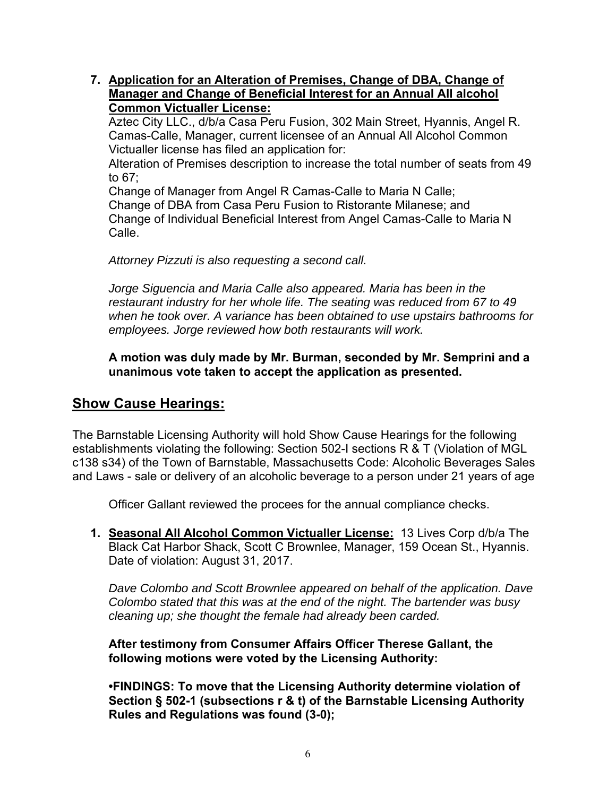**7. Application for an Alteration of Premises, Change of DBA, Change of Manager and Change of Beneficial Interest for an Annual All alcohol Common Victualler License:** 

Aztec City LLC., d/b/a Casa Peru Fusion, 302 Main Street, Hyannis, Angel R. Camas-Calle, Manager, current licensee of an Annual All Alcohol Common Victualler license has filed an application for:

Alteration of Premises description to increase the total number of seats from 49 to 67;

Change of Manager from Angel R Camas-Calle to Maria N Calle;

Change of DBA from Casa Peru Fusion to Ristorante Milanese; and Change of Individual Beneficial Interest from Angel Camas-Calle to Maria N Calle.

*Attorney Pizzuti is also requesting a second call.* 

*Jorge Siguencia and Maria Calle also appeared. Maria has been in the restaurant industry for her whole life. The seating was reduced from 67 to 49 when he took over. A variance has been obtained to use upstairs bathrooms for employees. Jorge reviewed how both restaurants will work.* 

**A motion was duly made by Mr. Burman, seconded by Mr. Semprini and a unanimous vote taken to accept the application as presented.** 

## **Show Cause Hearings:**

The Barnstable Licensing Authority will hold Show Cause Hearings for the following establishments violating the following: Section 502-I sections R & T (Violation of MGL c138 s34) of the Town of Barnstable, Massachusetts Code: Alcoholic Beverages Sales and Laws - sale or delivery of an alcoholic beverage to a person under 21 years of age

Officer Gallant reviewed the procees for the annual compliance checks.

**1. Seasonal All Alcohol Common Victualler License:** 13 Lives Corp d/b/a The Black Cat Harbor Shack, Scott C Brownlee, Manager, 159 Ocean St., Hyannis. Date of violation: August 31, 2017.

*Dave Colombo and Scott Brownlee appeared on behalf of the application. Dave Colombo stated that this was at the end of the night. The bartender was busy cleaning up; she thought the female had already been carded.* 

**After testimony from Consumer Affairs Officer Therese Gallant, the following motions were voted by the Licensing Authority:** 

**•FINDINGS: To move that the Licensing Authority determine violation of Section § 502-1 (subsections r & t) of the Barnstable Licensing Authority Rules and Regulations was found (3-0);**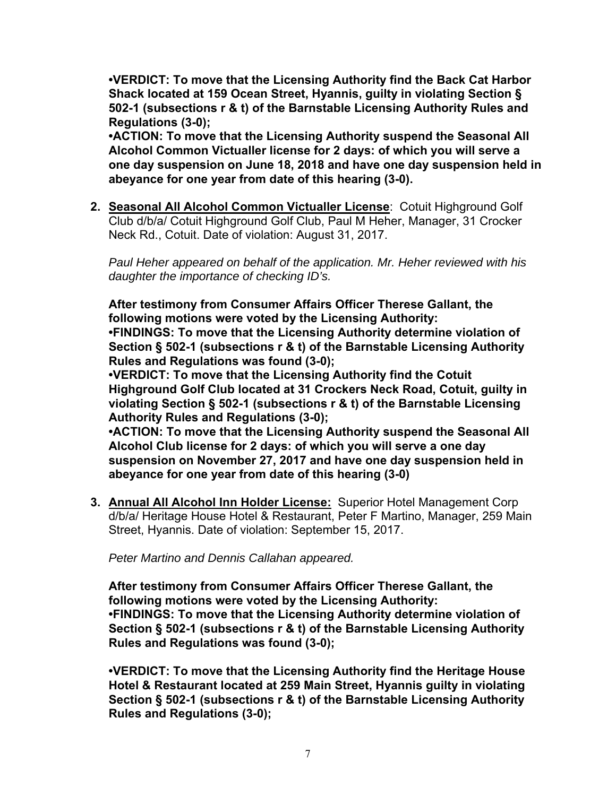**•VERDICT: To move that the Licensing Authority find the Back Cat Harbor Shack located at 159 Ocean Street, Hyannis, guilty in violating Section § 502-1 (subsections r & t) of the Barnstable Licensing Authority Rules and Regulations (3-0);** 

**•ACTION: To move that the Licensing Authority suspend the Seasonal All Alcohol Common Victualler license for 2 days: of which you will serve a one day suspension on June 18, 2018 and have one day suspension held in abeyance for one year from date of this hearing (3-0).** 

**2. Seasonal All Alcohol Common Victualler License**: Cotuit Highground Golf Club d/b/a/ Cotuit Highground Golf Club, Paul M Heher, Manager, 31 Crocker Neck Rd., Cotuit. Date of violation: August 31, 2017.

*Paul Heher appeared on behalf of the application. Mr. Heher reviewed with his daughter the importance of checking ID's.* 

**After testimony from Consumer Affairs Officer Therese Gallant, the following motions were voted by the Licensing Authority:** 

**•FINDINGS: To move that the Licensing Authority determine violation of Section § 502-1 (subsections r & t) of the Barnstable Licensing Authority Rules and Regulations was found (3-0);** 

**•VERDICT: To move that the Licensing Authority find the Cotuit Highground Golf Club located at 31 Crockers Neck Road, Cotuit, guilty in violating Section § 502-1 (subsections r & t) of the Barnstable Licensing Authority Rules and Regulations (3-0);** 

**•ACTION: To move that the Licensing Authority suspend the Seasonal All Alcohol Club license for 2 days: of which you will serve a one day suspension on November 27, 2017 and have one day suspension held in abeyance for one year from date of this hearing (3-0)** 

**3. Annual All Alcohol Inn Holder License:** Superior Hotel Management Corp d/b/a/ Heritage House Hotel & Restaurant, Peter F Martino, Manager, 259 Main Street, Hyannis. Date of violation: September 15, 2017.

*Peter Martino and Dennis Callahan appeared.* 

**After testimony from Consumer Affairs Officer Therese Gallant, the following motions were voted by the Licensing Authority: •FINDINGS: To move that the Licensing Authority determine violation of Section § 502-1 (subsections r & t) of the Barnstable Licensing Authority Rules and Regulations was found (3-0);** 

**•VERDICT: To move that the Licensing Authority find the Heritage House Hotel & Restaurant located at 259 Main Street, Hyannis guilty in violating Section § 502-1 (subsections r & t) of the Barnstable Licensing Authority Rules and Regulations (3-0);**